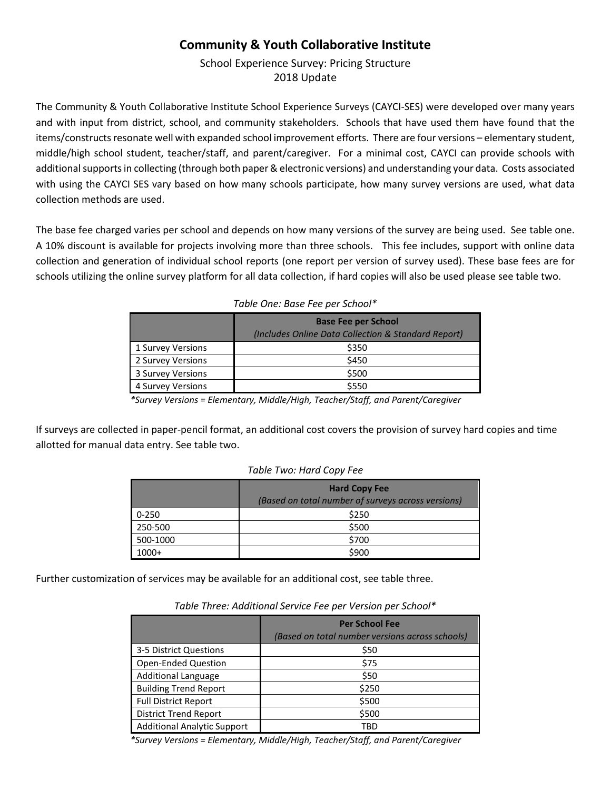## **Community & Youth Collaborative Institute**

School Experience Survey: Pricing Structure 2018 Update

The Community & Youth Collaborative Institute School Experience Surveys (CAYCI-SES) were developed over many years and with input from district, school, and community stakeholders. Schools that have used them have found that the items/constructs resonate well with expanded school improvement efforts. There are four versions – elementary student, middle/high school student, teacher/staff, and parent/caregiver. For a minimal cost, CAYCI can provide schools with additional supports in collecting (through both paper & electronic versions) and understanding your data. Costs associated with using the CAYCI SES vary based on how many schools participate, how many survey versions are used, what data collection methods are used.

The base fee charged varies per school and depends on how many versions of the survey are being used. See table one. A 10% discount is available for projects involving more than three schools. This fee includes, support with online data collection and generation of individual school reports (one report per version of survey used). These base fees are for schools utilizing the online survey platform for all data collection, if hard copies will also be used please see table two.

|                   | <b>Base Fee per School</b><br>(Includes Online Data Collection & Standard Report) |
|-------------------|-----------------------------------------------------------------------------------|
| 1 Survey Versions | \$350                                                                             |
| 2 Survey Versions | \$450                                                                             |
| 3 Survey Versions | \$500                                                                             |
| 4 Survey Versions | \$550                                                                             |

|  |  | Table One: Base Fee per School* |
|--|--|---------------------------------|
|  |  |                                 |

*\*Survey Versions = Elementary, Middle/High, Teacher/Staff, and Parent/Caregiver*

If surveys are collected in paper-pencil format, an additional cost covers the provision of survey hard copies and time allotted for manual data entry. See table two.

#### *Table Two: Hard Copy Fee*

|          | <b>Hard Copy Fee</b>                               |  |
|----------|----------------------------------------------------|--|
|          | (Based on total number of surveys across versions) |  |
| 0-250    | \$250                                              |  |
| 250-500  | \$500                                              |  |
| 500-1000 | \$700                                              |  |
| $1000+$  | \$900                                              |  |

Further customization of services may be available for an additional cost, see table three.

|                                    | <b>Per School Fee</b><br>(Based on total number versions across schools) |
|------------------------------------|--------------------------------------------------------------------------|
| 3-5 District Questions             | \$50                                                                     |
| Open-Ended Question                | \$75                                                                     |
| <b>Additional Language</b>         | \$50                                                                     |
| <b>Building Trend Report</b>       | \$250                                                                    |
| <b>Full District Report</b>        | \$500                                                                    |
| <b>District Trend Report</b>       | \$500                                                                    |
| <b>Additional Analytic Support</b> | TBD                                                                      |

*Table Three: Additional Service Fee per Version per School\**

*\*Survey Versions = Elementary, Middle/High, Teacher/Staff, and Parent/Caregiver*